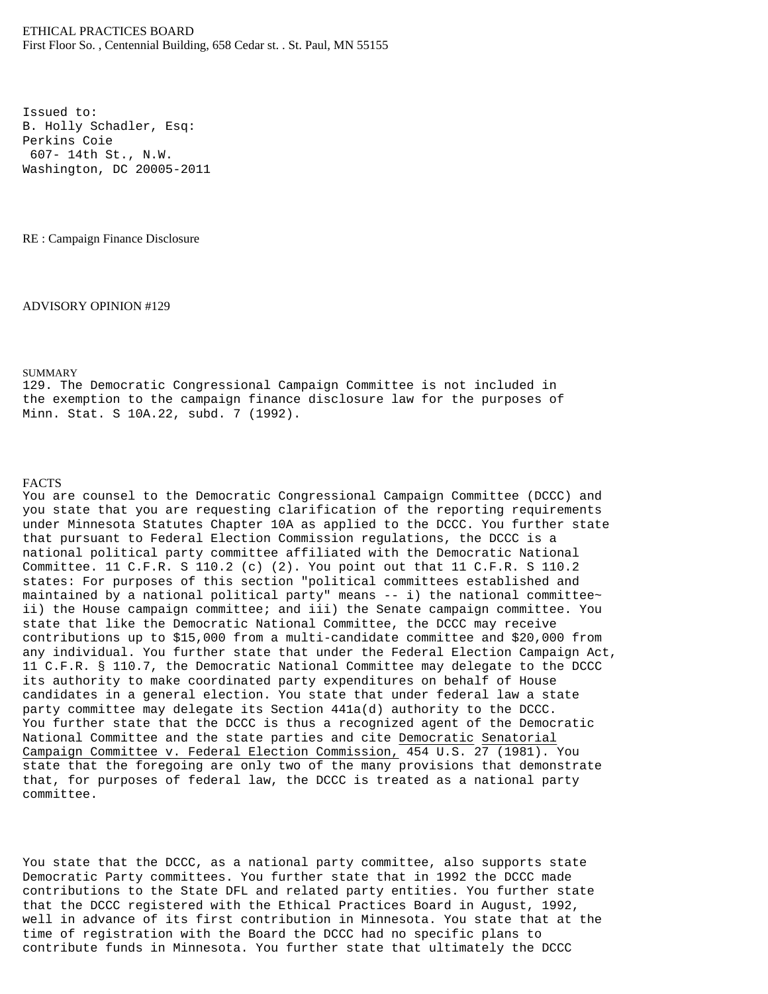Issued to: B. Holly Schadler, Esq: Perkins Coie 607- 14th St., N.W. Washington, DC 20005-2011

RE : Campaign Finance Disclosure

ADVISORY OPINION #129

## SUMMARY

129. The Democratic Congressional Campaign Committee is not included in the exemption to the campaign finance disclosure law for the purposes of Minn. Stat. S 10A.22, subd. 7 (1992).

## FACTS

You are counsel to the Democratic Congressional Campaign Committee (DCCC) and you state that you are requesting clarification of the reporting requirements under Minnesota Statutes Chapter 10A as applied to the DCCC. You further state that pursuant to Federal Election Commission regulations, the DCCC is a national political party committee affiliated with the Democratic National Committee. 11 C.F.R. S 110.2 (c) (2). You point out that 11 C.F.R. S 110.2 states: For purposes of this section "political committees established and maintained by a national political party" means -- i) the national committee~ ii) the House campaign committee; and iii) the Senate campaign committee. You state that like the Democratic National Committee, the DCCC may receive contributions up to \$15,000 from a multi-candidate committee and \$20,000 from any individual. You further state that under the Federal Election Campaign Act, 11 C.F.R. § 110.7, the Democratic National Committee may delegate to the DCCC its authority to make coordinated party expenditures on behalf of House candidates in a general election. You state that under federal law a state party committee may delegate its Section 441a(d) authority to the DCCC. You further state that the DCCC is thus a recognized agent of the Democratic National Committee and the state parties and cite Democratic Senatorial Campaign Committee v. Federal Election Commission, 454 U.S. 27 (1981). You state that the foregoing are only two of the many provisions that demonstrate that, for purposes of federal law, the DCCC is treated as a national party committee.

You state that the DCCC, as a national party committee, also supports state Democratic Party committees. You further state that in 1992 the DCCC made contributions to the State DFL and related party entities. You further state that the DCCC registered with the Ethical Practices Board in August, 1992, well in advance of its first contribution in Minnesota. You state that at the time of registration with the Board the DCCC had no specific plans to contribute funds in Minnesota. You further state that ultimately the DCCC